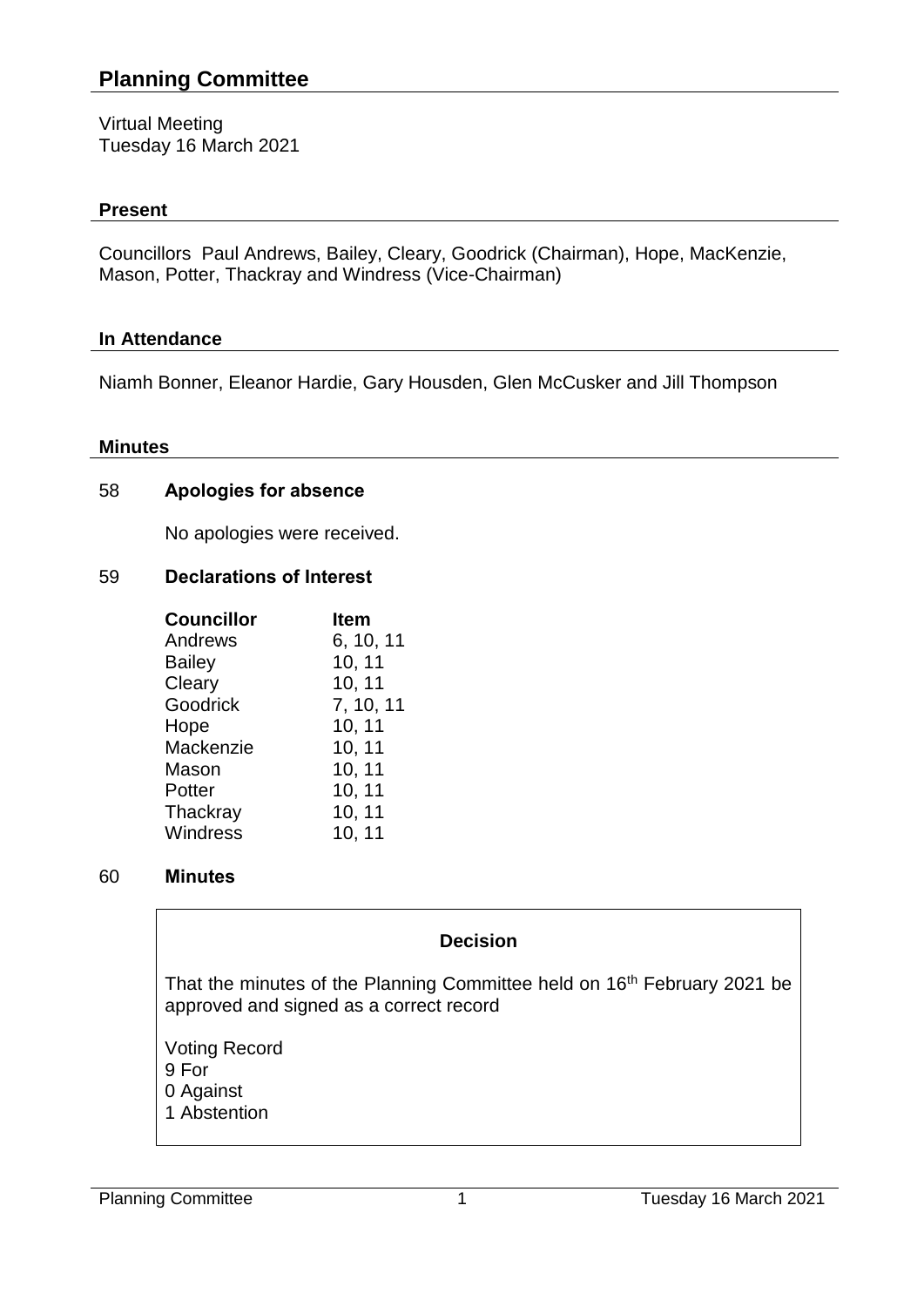# **Planning Committee**

Virtual Meeting Tuesday 16 March 2021

#### **Present**

Councillors Paul Andrews, Bailey, Cleary, Goodrick (Chairman), Hope, MacKenzie, Mason, Potter, Thackray and Windress (Vice-Chairman)

### **In Attendance**

Niamh Bonner, Eleanor Hardie, Gary Housden, Glen McCusker and Jill Thompson

#### **Minutes**

#### 58 **Apologies for absence**

No apologies were received.

### 59 **Declarations of Interest**

| <b>Councillor</b> | <b>Item</b> |
|-------------------|-------------|
| Andrews           | 6, 10, 11   |
| <b>Bailey</b>     | 10, 11      |
| Cleary            | 10, 11      |
| Goodrick          | 7, 10, 11   |
| Hope              | 10, 11      |
| Mackenzie         | 10, 11      |
| Mason             | 10, 11      |
| Potter            | 10, 11      |
| Thackray          | 10, 11      |
| Windress          | 10, 11      |

#### 60 **Minutes**

### **Decision**

That the minutes of the Planning Committee held on 16<sup>th</sup> February 2021 be approved and signed as a correct record

Voting Record 9 For 0 Against 1 Abstention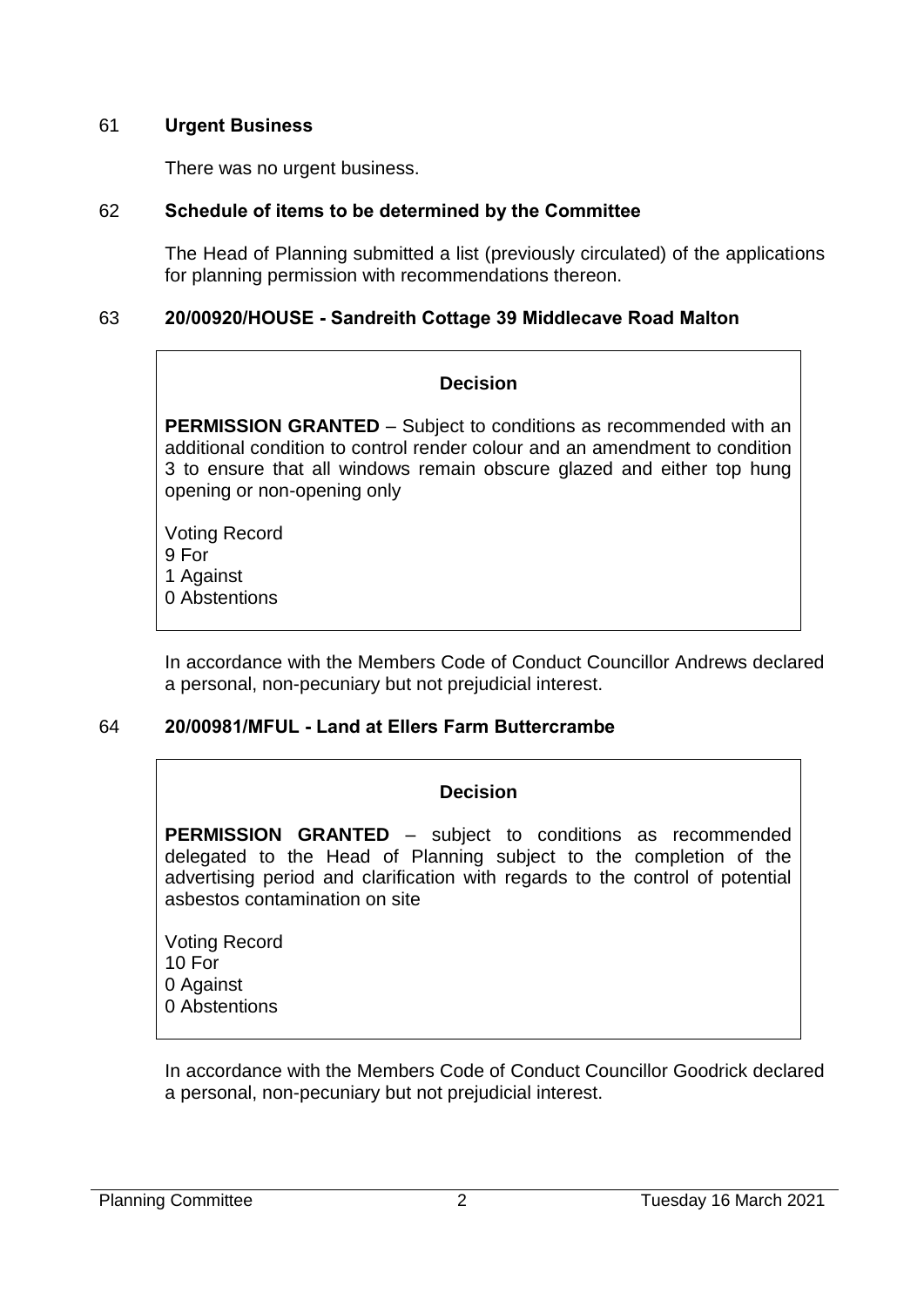### 61 **Urgent Business**

There was no urgent business.

### 62 **Schedule of items to be determined by the Committee**

The Head of Planning submitted a list (previously circulated) of the applications for planning permission with recommendations thereon.

### 63 **20/00920/HOUSE - Sandreith Cottage 39 Middlecave Road Malton**

### **Decision**

**PERMISSION GRANTED** – Subject to conditions as recommended with an additional condition to control render colour and an amendment to condition 3 to ensure that all windows remain obscure glazed and either top hung opening or non-opening only

Voting Record 9 For 1 Against 0 Abstentions

In accordance with the Members Code of Conduct Councillor Andrews declared a personal, non-pecuniary but not prejudicial interest.

### 64 **20/00981/MFUL - Land at Ellers Farm Buttercrambe**

### **Decision**

**PERMISSION GRANTED** – subject to conditions as recommended delegated to the Head of Planning subject to the completion of the advertising period and clarification with regards to the control of potential asbestos contamination on site

Voting Record 10 For 0 Against 0 Abstentions

In accordance with the Members Code of Conduct Councillor Goodrick declared a personal, non-pecuniary but not prejudicial interest.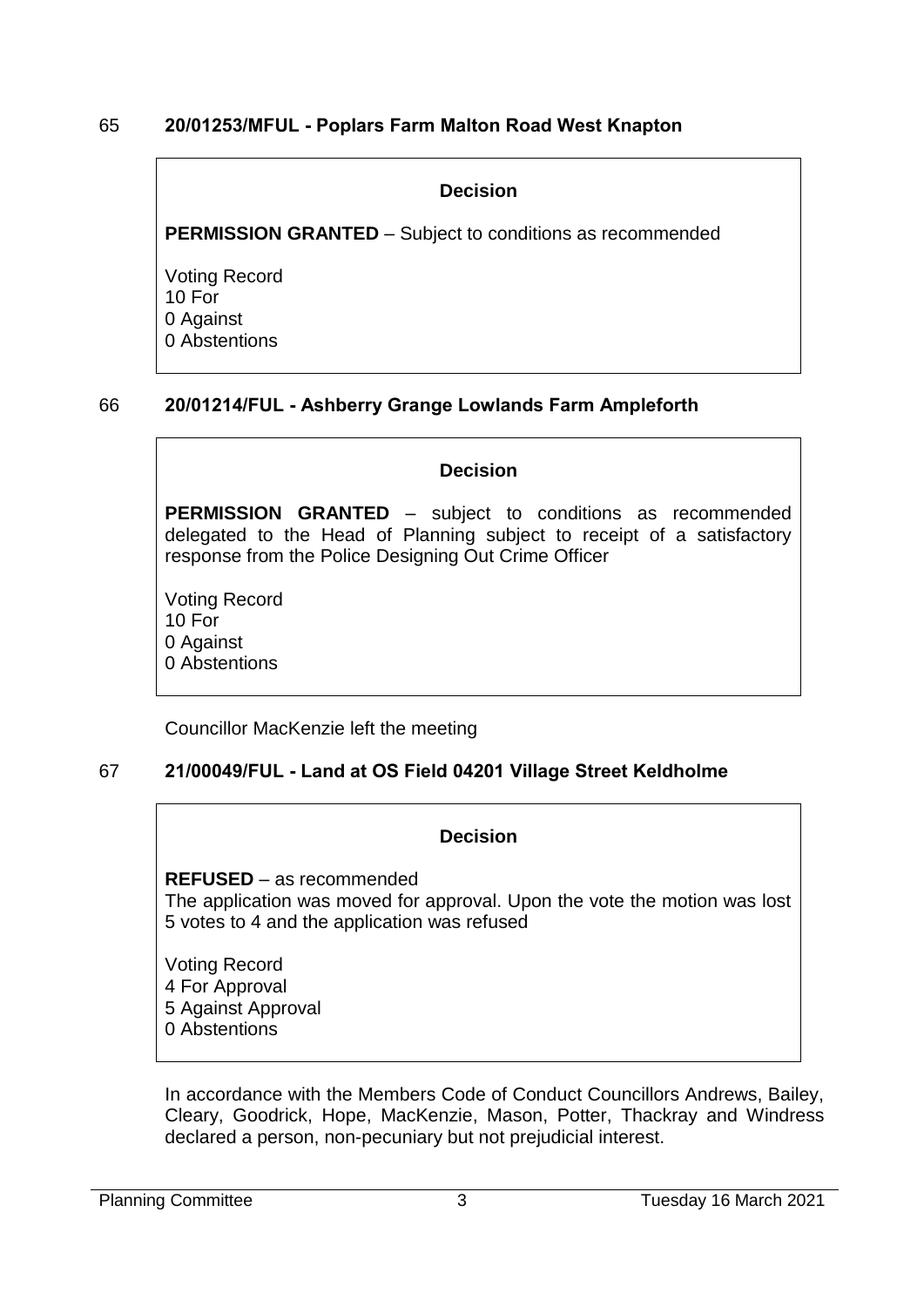### 65 **20/01253/MFUL - Poplars Farm Malton Road West Knapton**

#### **Decision**

**PERMISSION GRANTED** – Subject to conditions as recommended

Voting Record 10 For 0 Against 0 Abstentions

### 66 **20/01214/FUL - Ashberry Grange Lowlands Farm Ampleforth**

#### **Decision**

**PERMISSION GRANTED** – subject to conditions as recommended delegated to the Head of Planning subject to receipt of a satisfactory response from the Police Designing Out Crime Officer

Voting Record 10 For 0 Against 0 Abstentions

Councillor MacKenzie left the meeting

### 67 **21/00049/FUL - Land at OS Field 04201 Village Street Keldholme**

#### **Decision**

**REFUSED** – as recommended The application was moved for approval. Upon the vote the motion was lost 5 votes to 4 and the application was refused

Voting Record 4 For Approval 5 Against Approval 0 Abstentions

In accordance with the Members Code of Conduct Councillors Andrews, Bailey, Cleary, Goodrick, Hope, MacKenzie, Mason, Potter, Thackray and Windress declared a person, non-pecuniary but not prejudicial interest.

Planning Committee 2021